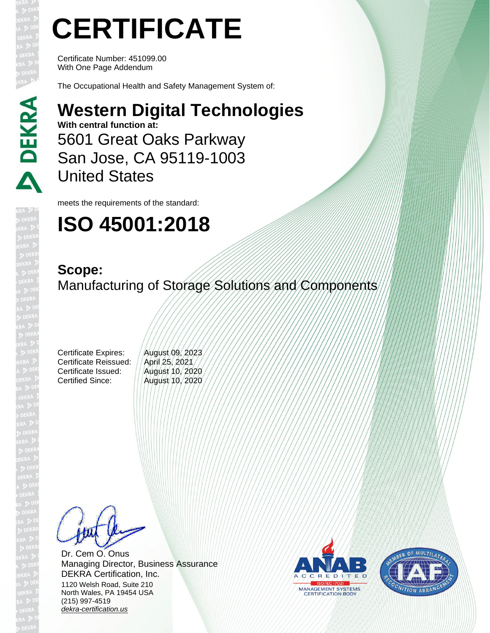# **CERTIFICATE**

Certificate Number: 451099.00 With One Page Addendum

The Occupational Health and Safety Management System of:

#### **Western Digital Technologies**

**With central function at:** 5601 Great Oaks Parkway San Jose, CA 95119-1003 United States

meets the requirements of the standard:

### **ISO 45001:2018**

### **Scope:**

Manufacturing of Storage Solutions and Components

Certificate Expires: //August/09, 2023 Certificate Reissued: // April 25, 2021 Certificate Issued: ||August 10, 2020 Certified Since: **August 10, 2020** 

Dr. Cem O. Onus Managing Director, Business Assurance DEKRA Certification, Inc. 1120 Welsh Road, Suite 210 North Wales, PA 19454 USA (215) 997-4519 *[dekra-certification.us](http://www.dekra-certification.us/)*